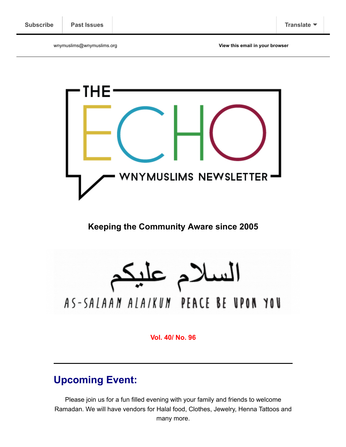wnymuslims@wnymuslims.org **[View this email in your browser](https://mailchi.mp/wnymuslims/coming-together?e=[UNIQID])**



**Keeping the Community Aware since 2005**

السلام عليا AS-SALAAN ALAIKUN PEACE BE UPON YOU

**Vol. 40/ No. 96**

# **Upcoming Event:**

Please join us for a fun filled evening with your family and friends to welcome Ramadan. We will have vendors for Halal food, Clothes, Jewelry, Henna Tattoos and many more.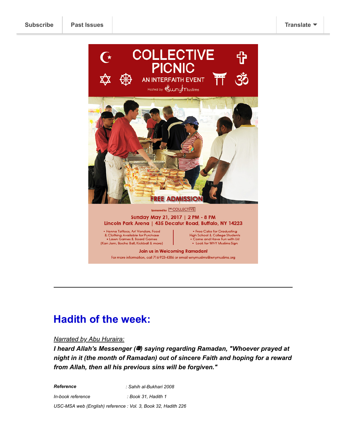

# **Hadith of the week:**

#### *Narrated by Abu Huraira:*

*I heard Allah's Messenger (卷) saying regarding Ramadan, "Whoever prayed at night in it (the month of Ramadan) out of sincere Faith and hoping for a reward from Allah, then all his previous sins will be forgiven."*

*Reference : Sahih al-Bukhari 2008*

*In-book reference : Book 31, Hadith 1*

*USC-MSA web (English) reference : Vol. 3, Book 32, Hadith 226*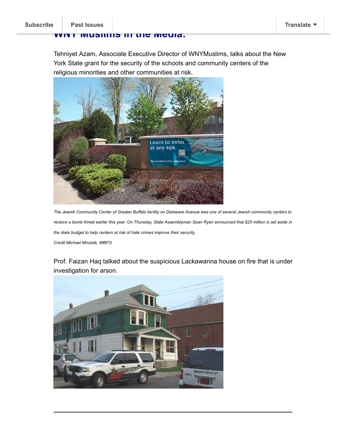### **[WNY Muslim](https://us13.campaign-archive.com/home/?u=19ed6f05ad8527220a10faa63&id=636f885f5f)s in the Media:**

Tehniyet Azam, Associate Executive Director of WNYMuslims, talks about the New York State grant for the security of the schools and community centers of the religious minorities and other communities at risk.



*The Jewish Community Center of Greater Buffalo facility on Delaware Avenue was one of several Jewish community centers to receive a bomb threat earlier this year. On Thursday, State Assemblyman Sean Ryan announced that \$25 million is set aside in the state budget to help centers at risk of hate crimes improve their security. Credit Michael Mroziak, WBFO*

Prof. Faizan Haq talked about the suspicious Lackawanna house on fire that is under investigation for arson.

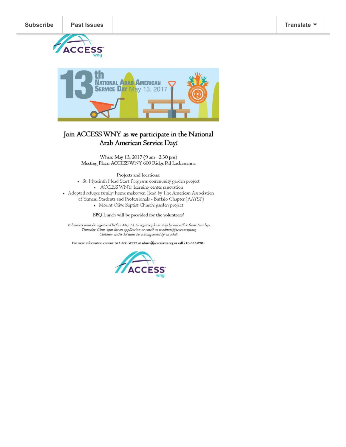



# Join ACCESS WNY as we participate in the National Arab American Service Day!

When: May 13, 2017 (9 am -2:30 pm) Meeting Place: ACCESS WNY 609 Ridge Rd Lackawanna

#### Projects and locations:

· St. Hyacinth Head Start Program: community garden project + ACCESS WNY: learning center renovation • Adopted refugee family: home makeover, (lead by The American Association of Yemeni Students and Professionals - Buffalo Chapter (AAYSP) • Mount Olive Baptist Church: garden project

BBQ Lunch will be provided for the volunteers!

Volunteers must be registered before May 13, to register please stop by our office from Tuesday-Thursday 10am-4pm for an application or email us at admin@accesswny.org<br>Thursday 10am-4pm for an application or email us at admin@accesswny.org<br>Children under 18 must be accompanied by an adult.

For more information contact ACCESS WNY at admin@accesswny.org or call 716-332-5901

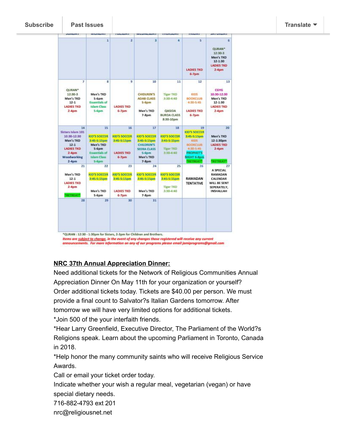| 1<br>$\bar{a}$<br>Men's TKD<br>$5-6$ pm<br><b>Essentials of</b>                                                   | $\overline{2}$<br>9                                                         | $\overline{a}$<br>10                                                                                  | Æ<br>11                                                                     | 5<br><b>LADIES TKD</b><br>$6-7pm$<br>12                                                                                                | 6<br>QURAN <sup>+</sup><br>12:30.3<br>Men's TKD<br>$12 - 1:30$<br><b>LADIES TKD</b><br>$2-4$ pm |
|-------------------------------------------------------------------------------------------------------------------|-----------------------------------------------------------------------------|-------------------------------------------------------------------------------------------------------|-----------------------------------------------------------------------------|----------------------------------------------------------------------------------------------------------------------------------------|-------------------------------------------------------------------------------------------------|
|                                                                                                                   |                                                                             |                                                                                                       |                                                                             |                                                                                                                                        |                                                                                                 |
| Islam Class<br>$5-6$ pm                                                                                           | <b>LADIES TKD</b><br>$6 - 7$ pm                                             | <b>CHIDLREN'S</b><br><b>ADAB CLASS</b><br>$5.60$ m<br>Men's TKD<br>$7-8pm$                            | <b>Tiger TICD</b><br>3:30-4:40<br>QASIDA<br><b>BURDA CLASS</b><br>8:30-10pm | KIDS<br><b>BOOKCLUB</b><br>4:30-5:45<br><b>LADIES TKD</b><br>$6 - 7$ pm                                                                | 13<br><b>CGYG</b><br>10:30-12:30<br>Men's TKD<br>$12 - 1:30$<br><b>LADIES TKD</b><br>$2-4pm$    |
| 15<br>KID'S SOCCER<br>3:45-5:15pm<br>Men's TKD<br>5.6 <sub>pm</sub><br><b>Essentials of</b><br><b>Islam Class</b> | 16<br>KID'S SOCCER<br>3:45-5:15pm<br><b>LADIES TKD</b><br>6-7pm             | 17<br>KID'S SOCCER<br>3:45-5:15pm<br><b>CHILDREN'S</b><br><b>SEERA CLASS</b><br>$5-6$ pm<br>Men's TKD | 18<br><b>KID'S SOCCER</b><br>3:45-5:15pm<br><b>Tiger TKD</b><br>3:30-4:40   | 19<br>KID'S SOCCER<br>3:45-5:15pm<br><b>KIDS</b><br><b>BOOKCLUB</b><br>4:30-5:45<br><b>PROPHET'S</b><br>NIGHT 6-8pm<br><b>RETREAT!</b> | 20<br>Men's TKD<br>12-1:30pm<br><b>LADIES TKD</b><br>$2-4pmn$<br><b>RETREAT</b>                 |
| 22<br><b>KID'S SOCCER</b><br>3:45-5:15pm<br>Men's TKD<br>5.6 <sub>pm</sub>                                        | 23<br><b>KID'S SOCCER</b><br>3:45-5:15pm<br><b>LADIES TKD</b><br>$6 - 7$ pm | 24<br><b>KID'S SOCCER</b><br>3:45-5:15pm<br>Men's TKD<br>$7-8D$ m                                     | 25<br><b>KID'S SOCCER</b><br>3:45-5:15pm<br><b>Tiger TKD</b><br>3:30-4:40   | 26<br>RAMADAN<br><b>TENTATIVE</b>                                                                                                      | 27<br>A SPECIAL<br>RAMADAN<br>CALENDAR<br>WILL BE SENT<br>SEPERATELY.<br>INSHALLAH              |
|                                                                                                                   | 5-6pm<br>29                                                                 | 30                                                                                                    | $7-8$ pm<br>31                                                              |                                                                                                                                        |                                                                                                 |

announcements. For more information on any of our programs please email jamiprograms@gmail.com

## **NRC 37th Annual Appreciation Dinner:**

Need additional tickets for the Network of Religious Communities Annual Appreciation Dinner On May 11th for your organization or yourself? Order additional tickets today. Tickets are \$40.00 per person. We must provide a final count to Salvator?s Italian Gardens tomorrow. After tomorrow we will have very limited options for additional tickets. \*Join 500 of the your interfaith friends.

\*Hear Larry Greenfield, Executive Director, The Parliament of the World?s Religions speak. Learn about the upcoming Parliament in Toronto, Canada in 2018.

\*Help honor the many community saints who will receive Religious Service Awards.

Call or email your ticket order today.

Indicate whether your wish a regular meal, vegetarian (vegan) or have special dietary needs.

716-882-4793 ext 201

nrc@religiousnet.net